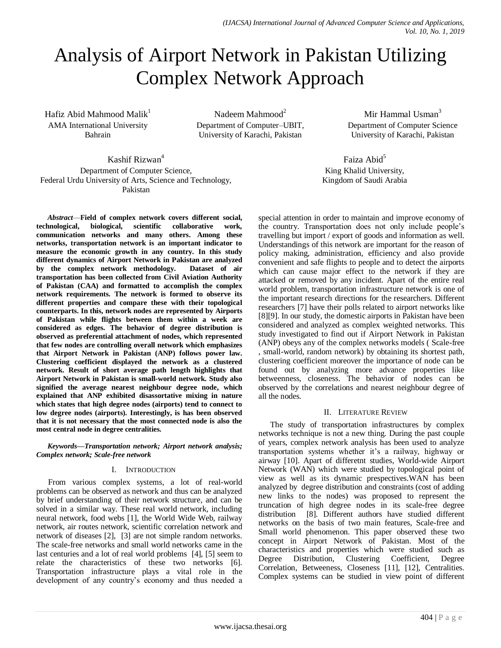# Analysis of Airport Network in Pakistan Utilizing Complex Network Approach

Hafiz Abid Mahmood Malik<sup>1</sup> AMA International University Bahrain

Nadeem Mahmood $2$ Department of Computer–UBIT, University of Karachi, Pakistan

Mir Hammal Usman<sup>3</sup> Department of Computer Science University of Karachi, Pakistan

Faiza Abid<sup>5</sup> King Khalid University, Kingdom of Saudi Arabia

Kashif Rizwan<sup>4</sup> Department of Computer Science, Federal Urdu University of Arts, Science and Technology, Pakistan

*Abstract*—**Field of complex network covers different social, technological, biological, scientific collaborative work, communication networks and many others. Among these networks, transportation network is an important indicator to measure the economic growth in any country. In this study different dynamics of Airport Network in Pakistan are analyzed by the complex network methodology. Dataset of air transportation has been collected from Civil Aviation Authority of Pakistan (CAA) and formatted to accomplish the complex network requirements. The network is formed to observe its different properties and compare these with their topological counterparts. In this, network nodes are represented by Airports of Pakistan while flights between them within a week are considered as edges. The behavior of degree distribution is observed as preferential attachment of nodes, which represented that few nodes are controlling overall network which emphasizes that Airport Network in Pakistan (ANP) follows power law. Clustering coefficient displayed the network as a clustered network. Result of short average path length highlights that Airport Network in Pakistan is small-world network. Study also signified the average nearest neighbour degree node, which explained that ANP exhibited disassortative mixing in nature which states that high degree nodes (airports) tend to connect to low degree nodes (airports). Interestingly, is has been observed that it is not necessary that the most connected node is also the most central node in degree centralities.**

*Keywords—Transportation network; Airport network analysis; Complex network; Scale-free network*

# I. INTRODUCTION

From various complex systems, a lot of real-world problems can be observed as network and thus can be analyzed by brief understanding of their network structure, and can be solved in a similar way. These real world network, including neural network, food webs [1], the World Wide Web, railway network, air routes network, scientific correlation network and network of diseases [2], [3] are not simple random networks. The scale-free networks and small world networks came in the last centuries and a lot of real world problems [4], [5] seem to relate the characteristics of these two networks [6]. Transportation infrastructure plays a vital role in the development of any country's economy and thus needed a special attention in order to maintain and improve economy of the country. Transportation does not only include people's travelling but import / export of goods and information as well. Understandings of this network are important for the reason of policy making, administration, efficiency and also provide convenient and safe flights to people and to detect the airports which can cause major effect to the network if they are attacked or removed by any incident. Apart of the entire real world problem, transportation infrastructure network is one of the important research directions for the researchers. Different researchers [7] have their polls related to airport networks like [8][9]. In our study, the domestic airports in Pakistan have been considered and analyzed as complex weighted networks. This study investigated to find out if Airport Network in Pakistan (ANP) obeys any of the complex networks models ( Scale-free , small-world, random network) by obtaining its shortest path, clustering coefficient moreover the importance of node can be found out by analyzing more advance properties like betweenness, closeness. The behavior of nodes can be observed by the correlations and nearest neighbour degree of all the nodes.

# II. LITERATURE REVIEW

The study of transportation infrastructures by complex networks technique is not a new thing. During the past couple of years, complex network analysis has been used to analyze transportation systems whether it's a railway, highway or airway [10]. Apart of differetnt studies, World-wide Airport Network (WAN) which were studied by topological point of view as well as its dynamic prespectives.WAN has been analyzed by degree distribution and constraints (cost of adding new links to the nodes) was proposed to represent the truncation of high degree nodes in its scale-free degree distribution [8]. Different authors have studied different networks on the basis of two main features, Scale-free and Small world phenomenon. This paper observed these two concept in Airport Network of Pakistan. Most of the characteristics and properties which were studied such as Degree Distribution, Clustering Coefficient, Degree Correlation, Betweeness, Closeness [11], [12], Centralities. Complex systems can be studied in view point of different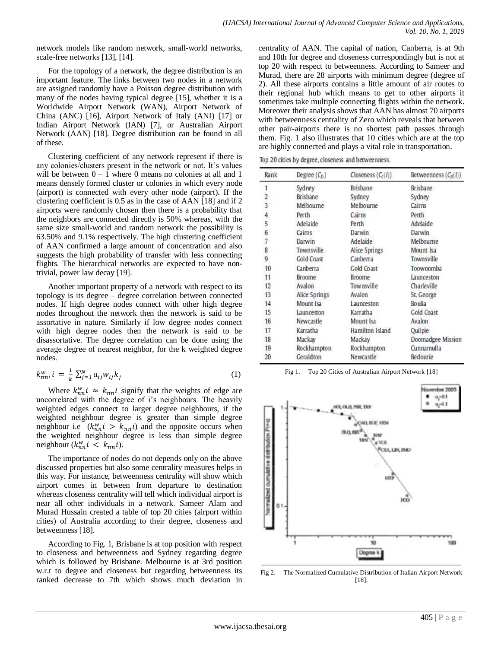network models like random network, small-world networks, scale-free networks [13], [14].

For the topology of a network, the degree distribution is an important feature. The links between two nodes in a network are assigned randomly have a Poisson degree distribution with many of the nodes having typical degree [15], whether it is a Worldwide Airport Network (WAN), Airport Network of China (ANC) [16], Airport Network of Italy (ANI) [17] or Indian Airport Network (IAN) [7], or Australian Airport Network (AAN) [18]. Degree distribution can be found in all of these.

Clustering coefficient of any network represent if there is any colonies/clusters present in the network or not. It's values will be between  $0 - 1$  where 0 means no colonies at all and 1 means densely formed cluster or colonies in which every node (airport) is connected with every other node (airport). If the clustering coefficient is 0.5 as in the case of AAN [18] and if 2 airports were randomly chosen then there is a probability that the neighbors are connected directly is 50% whereas, with the same size small-world and random network the possibility is 63.50% and 9.1% respectively. The high clustering coefficient of AAN confirmed a large amount of concentration and also suggests the high probability of transfer with less connecting flights. The hierarchical networks are expected to have nontrivial, power law decay [19].

Another important property of a network with respect to its topology is its degree – degree correlation between connected nodes. If high degree nodes connect with other high degree nodes throughout the network then the network is said to be assortative in nature. Similarly if low degree nodes connect with high degree nodes then the network is said to be disassortative. The degree correlation can be done using the average degree of nearest neighbor, for the k weighted degree nodes.

$$
k_{nn}^w, i = \frac{1}{k} \sum_{j=1}^N a_{ij} w_{ij} k_j \tag{1}
$$

Where  $k_{nn}^w i \approx k_{nn} i$  signify that the weights of edge are uncorrelated with the degree of i's neighbours. The heavily weighted edges connect to larger degree neighbours, if the weighted neighbour degree is greater than simple degree neighbour i.e  $(k_{nn}^w i > k_{nn} i)$  and the opposite occurs when the weighted neighbour degree is less than simple degree neighbour  $(k_{nn}^{\omega} i < k_{nn} i)$ .

The importance of nodes do not depends only on the above discussed properties but also some centrality measures helps in this way. For instance, betweenness centrality will show which airport comes in between from departure to destination whereas closeness centrality will tell which individual airport is near all other individuals in a network. Sameer Alam and Murad Hussain created a table of top 20 cities (airport within cities) of Australia according to their degree, closeness and betweenness [18].

According to Fig. 1, Brisbane is at top position with respect to closeness and betweenness and Sydney regarding degree which is followed by Brisbane. Melbourne is at 3rd position w.r.t to degree and closeness but regarding betweenness its ranked decrease to 7th which shows much deviation in centrality of AAN. The capital of nation, Canberra, is at 9th and 10th for degree and closeness correspondingly but is not at top 20 with respect to betweenness. According to Sameer and Murad, there are 28 airports with minimum degree (degree of 2). All these airports contains a little amount of air routes to their regional hub which means to get to other airports it sometimes take multiple connecting flights within the network. Moreover their analysis shows that AAN has almost 70 airports with betweenness centrality of Zero which reveals that between other pair-airports there is no shortest path passes through them. Fig. 1 also illustrates that 10 cities which are at the top are highly connected and plays a vital role in transportation.

Top 20 cities by degree, closeness and betweenness.

| Rank<br>Degree $(C_D)$ |                   | Closeness $(C_c(i))$ | Betweenness $(C_B(i))$ |  |  |
|------------------------|-------------------|----------------------|------------------------|--|--|
| 1                      | Sydney            | Brisbane             | Brisbane               |  |  |
| 2                      | <b>Brisbane</b>   | Sydney               | Sydney                 |  |  |
| 3                      | Melbourne         | Melbourne            | Cairns                 |  |  |
| 4                      | Perth             | Cairns               | Perth                  |  |  |
| 5                      | Adelaide          | Perth                | Adelaide               |  |  |
| 6                      | Caims             | Darwin               | Darwin                 |  |  |
| 7                      | Darwin            | Adelaide             | Melbourne              |  |  |
| 8                      | Townsville        | Alice Springs        | Mount Isa              |  |  |
| 9                      | <b>Gold Coast</b> | Canberra             | Townsville             |  |  |
| 10                     | Canberra          | Gold Coast           | Toowoomba              |  |  |
| 11                     | Broome            | <b>Broome</b>        | Launceston             |  |  |
| 12                     | Avalon            | Townsville           | Charleville            |  |  |
| 13                     | Alice Springs     | Avalon               | St. George             |  |  |
| 14                     | Mount Isa         | Launceston           | Boulia                 |  |  |
| 15                     | Launceston        | Karratha             | Gold Coast             |  |  |
| 16                     | Newcastle         | Mount Isa            | Avalon                 |  |  |
| 17                     | Karratha          | Hamilton Island      | Quilpie                |  |  |
| 18                     | Mackay            | Mackay               | Doomadgee Mission      |  |  |
| 19                     | Rockhampton       | Rockhampton          | Cunnamulla             |  |  |
| 20                     | Geraldton         | Newcastle            | Bedourie               |  |  |

Fig 1. Top 20 Cities of Australian Airport Network [18]



Fig 2. The Normalized Cumulative Distribution of Italian Airport Network [18].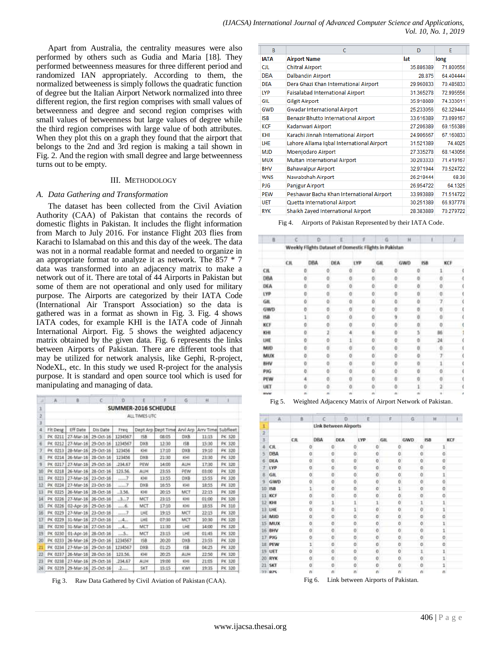Apart from Australia, the centrality measures were also performed by others such as Gudia and Maria [18]. They performed betweenness measures for three different period and randomized IAN appropriately. According to them, the normalized betweeness is simply follows the quadratic function of degree but the Italian Airport Network normalized into three different region, the first region comprises with small values of betweenness and degree and second region comprises with small values of betweenness but large values of degree while the third region comprises with large value of both attributes. When they plot this on a graph they found that the airport that belongs to the 2nd and 3rd region is making a tail shown in Fig. 2. And the region with small degree and large betweenness turns out to be empty.

#### III. METHODOLOGY

#### *A. Data Gathering and Transformation*

The dataset has been collected from the Civil Aviation Authority (CAA) of Pakistan that contains the records of domestic flights in Pakistan. It includes the flight information from March to July 2016. For instance Flight 203 flies from Karachi to Islamabad on this and this day of the week. The data was not in a normal readable format and needed to organize in an appropriate format to analyze it as network. The 857 \* 7 data was transformed into an adjacency matrix to make a network out of it. There are total of 44 Airports in Pakistan but some of them are not operational and only used for military purpose. The Airports are categorized by their IATA Code (International Air Transport Association) so the data is gathered was in a format as shown in Fig. 3. Fig. 4 shows IATA codes, for example KHI is the IATA code of Jinnah International Airport. Fig. 5 shows the weighted adjacency matrix obtained by the given data. Fig. 6 represents the links between Airports of Pakistan. There are different tools that may be utilized for network analysis, like Gephi, R-project, NodeXL, etc. In this study we used R-project for the analysis purpose. It is standard and open source tool which is used for manipulating and managing of data.

| z   | A.       | 8.           | $-C$          | Ð       | Ë             |                             | G.         | Ħ         |          |
|-----|----------|--------------|---------------|---------|---------------|-----------------------------|------------|-----------|----------|
| а   |          |              |               |         |               | SUMMER-2016 SCHEUDLE        |            |           |          |
| 2   |          |              |               |         | ALL TIMES UTC |                             |            |           |          |
| э   |          |              |               |         |               |                             |            |           |          |
| 4   | Fit Desg | Eff Date     | Dis Date      | Freq    |               | Dept Arp Dept Time Arvi Arp |            | Arry Time | Subfleet |
| š   | PK 0211  | 27-Mar-16    | 29-Dct-16     | 1234567 | 15B           | 08:05                       | <b>DXB</b> | 11:15     | PK 320   |
| ä   | PK 0212  | 27-Mar-16    | 29-Oct-16     | 1234567 | DXB           | 12:30                       | 158        | 15:30     | PK 320   |
| э   | PK 0213  | 28-Mar-16    | 29-Oct-16     | 123456  | KHI           | 17:10                       | <b>DXB</b> | 19:10     | PK 320   |
| B   | PK 0214  | 26-Mar-16    | 28-Oct-16     | 123456  | <b>DXB</b>    | 21:30                       | KHI        | 23:30     | PK 320   |
| 厍   | PK 0217  | 27-Mar-16    | 29-Dcf-16     | .234.67 | PEW           | 14:00                       | AUH        | 17:30     | PK 320   |
| 10  | PK 0218  | 26-Mar-16    | 28-Oct-16     | 123.56. | <b>AUH</b>    | 23:55                       | PEW        | 03:00     | PK 320   |
| Ħ   | PK 0223  | 27-Mar-16    | 23-Oct-16     | 1000    | KHI           | 13:55                       | DXB        | 15:55     | PK 320   |
| 12  | PK 0224  | 27-Mar-16    | 23-Oct-16     | $m = 7$ | OXB           | 16:55                       | KHI        | 18:55     | PK 320   |
| 13  | PK 0225  | 26-Mar-16    | 28-Oct-16     | .3.56.  | KHI           | 20:15                       | MCT        | $22 - 33$ | PK 320   |
| 14  | PK 0226  | 27-Mar-16    | 26-Oct-16     | 3.7     | MCT           | 23:15                       | KHI        | 01:00     | PK 320   |
| 15  | PK 0226  | $02$ -Apr-16 | 29-Oct-16     | 11.5    | MCT.          | 17:10                       | KHI        | 18:55     | PK 310   |
| 16  | PK 0229  | 27-Mar-16    | 23-Oct-16     | 111167  | LHE           | 19:15                       | MCT        | 22:15     | PK 320   |
| 17  | PK 0229  | 31-Mar-16    | 27-Oct-16     | $$ 4    | LHË           | 07:30                       | MCT        | 10:30     | PK 320   |
| 18  | PK 0230  | 31-Mar-16    | 27-Oct-16     | 4       | MCT           | 11:30                       | LHE        | 14:00     | PK 320   |
| 19  | PK 0230  | $01-Apr-16$  | 28-Oct-16     | 5.      | MCT           | 23:15                       | <b>LHE</b> | 01:45     | PK 320   |
| 20  | PK 0233  | 26-Mar-16    | 29-Oct-16     | 1234567 | 均息            | 20:20                       | DXB        | 23:55     | PK 320   |
| 21  | PK 0234  | 27-Mar-16    | 29-Oct-16     | 1234567 | DXB           | 01:25                       | <b>ISB</b> | 04:25     | PK 320   |
| 竝   | PK 0237  | 26-Mar-16    | 28-Oct-16     | 123.56. | KHE           | 20:25                       | AUH        | 22:50     | PK 320   |
| 23  | PK 0238  | 27-Mar-16    | 29-Oct-16     | .234.67 | AUH           | 19:00                       | KHI        | 21:05     | PK 320   |
| 24. | PK 0239  | 29-Mar-16    | $25-0c$ $-16$ | .2.     | SKT           | 15:15                       | KWI        | 19:35     | PK 320   |
|     |          |              |               |         |               |                             |            |           |          |

Fig 3. Raw Data Gathered by Civil Aviation of Pakistan (CAA).

| B           | с                                         | D         | E         |  |
|-------------|-------------------------------------------|-----------|-----------|--|
| <b>IATA</b> | <b>Airport Name</b>                       | lat       | long      |  |
| <b>CJL</b>  | <b>Chitral Airport</b>                    | 35.886389 | 71.800556 |  |
| <b>DBA</b>  | <b>Dalbandin Airport</b>                  | 28,875    | 64.404444 |  |
| <b>DEA</b>  | Dera Ghazi Khan International Airport     | 29.960833 | 70.485833 |  |
| LYP         | Faisalabad International Airport          | 31.365278 | 72.995556 |  |
| GIL         | <b>Gilgit Airport</b>                     | 35.918889 | 74.333611 |  |
| <b>GWD</b>  | <b>Gwadar International Airport</b>       | 25.233056 | 62.329444 |  |
| <b>ISB</b>  | Benazir Bhutto International Airport      | 33.616389 | 73.099167 |  |
| <b>KCF</b>  | Kadanwari Airport                         | 27.206389 | 69.156389 |  |
| KHI         | Karachi Jinnah International Airport      | 24.906667 | 67.160833 |  |
| <b>LHE</b>  | Lahore Allama Iqbal International Airport | 31.521389 | 74.4025   |  |
| <b>MJD</b>  | Moenjodaro Airport                        | 27.335278 | 68.143056 |  |
| <b>MUX</b>  | Multan International Airport              | 30.203333 | 71.419167 |  |
| <b>BHV</b>  | <b>Bahawalpur Airport</b>                 | 32.971944 | 70.524722 |  |
| <b>WNS</b>  | Nawabshah Airport                         | 26.219444 | 68.39     |  |
| <b>PJG</b>  | <b>Panjgur Airport</b>                    | 26.954722 | 64.1325   |  |
| <b>PEW</b>  | Peshawar Bacha Khan International Airport | 33.993889 | 71.514722 |  |
| <b>UET</b>  | Quetta International Airport              | 30.251389 | 66.937778 |  |
| <b>RYK</b>  | Shaikh Zayed International Airport        | 28.383889 | 70.279722 |  |

Fig 4. Airports of Pakistan Represented by their IATA Code.

| 百           | e   | o   |   | ПĔ         |   |                                                        | i G  |    | H   |          |         |     |  |
|-------------|-----|-----|---|------------|---|--------------------------------------------------------|------|----|-----|----------|---------|-----|--|
|             |     |     |   |            |   | Weekly Flights Dataset of Domestic Flights in Pakistan |      |    |     |          |         |     |  |
|             | CH. | DBA |   | <b>DEA</b> |   | LYP                                                    | GIL. |    | GWD |          | 158     | KCF |  |
| CIL:        |     | ö   |   |            | ō | ŭ                                                      |      | ū  |     | o        |         |     |  |
| DBA         |     |     |   |            |   | ö                                                      |      | ö  |     | ö        | ō       |     |  |
| DEA         |     |     | o |            | ٥ | ŏ                                                      |      | ō  |     | ö        | ā       |     |  |
| <b>LYP</b>  |     |     | a |            | a | ö                                                      |      | 0  |     | o        | Ü       |     |  |
| GHL         |     |     |   |            | o | Ö                                                      |      | ö. |     | ò        | 7       |     |  |
| GWD         |     | ö   |   |            | o | ö                                                      |      | ö  |     | ö        | ö       |     |  |
| t5B         |     |     | ö |            | ä | ö                                                      |      | 9  |     | b        | ó       |     |  |
| KCF         |     |     |   |            | o | o                                                      |      | ō  |     | ø        | ٥       |     |  |
| KHI         |     |     |   |            |   |                                                        |      | B  |     | 5        | B6      |     |  |
| UIE         |     |     |   |            |   | Ö                                                      |      | o  |     | b        | 24      |     |  |
| MJD         |     | ö   | ö |            |   | õ                                                      |      | o  |     | $\theta$ | $\circ$ |     |  |
| MUX         |     | ō   | ö |            | ō | ö                                                      |      | ō  |     | o        | 7       |     |  |
| <b>BHV</b>  |     |     |   |            | ä | ö                                                      |      |    |     | ö        |         |     |  |
| PIG         |     |     | ō |            | a | Ó                                                      |      | ö  |     | ö        | ó       |     |  |
| PEW         |     |     |   |            |   | Ö                                                      |      | ñ  |     | ö        | ä       |     |  |
| UET         |     |     |   |            | o | ō                                                      |      | n  |     | i        |         |     |  |
| <b>HIGH</b> |     | n   |   |            |   | n                                                      |      | a  |     | n.       | ı       |     |  |

Fig 5. Weighted Adjacency Matrix of Airport Network of Pakistan.

| ×              | $A$ :         | $\rm{B}$ | c   | o                     | E       | F.         | G            | Ħ            |     |
|----------------|---------------|----------|-----|-----------------------|---------|------------|--------------|--------------|-----|
| 1              |               |          |     | Link Between Airports |         |            |              |              |     |
| 2              |               |          |     |                       |         |            |              |              |     |
| 3              |               | Cit      | DBA | <b>DEA</b>            | LYP.    | <b>GIL</b> | GWD          | 158          | KCF |
| $\overline{a}$ | CR.           | 0        | o   | o                     | ٥       | $\circ$    | ٥            |              |     |
| 5              | DBA           | ö.       | o   | 0                     | Ŭ       | o          | 0            | ō.           |     |
| 6              | DEA           | o.       | ö   | o                     | ö       | ö          | $\circ$      | o.           |     |
| z.             | <b>LYP</b>    | o.       | ŭ   | $\Omega$              | ŭ       | o.         | ŭ            | o            |     |
| 退              | <b>GIL</b>    | Ŭ.       | o   | Ŭ.                    | o       | 0          | o            | 1            |     |
| 吸              | GWD           | 0        | ō   | 0                     | ø       | O.         | ٥            | o            |     |
| 10             | ISB           | ã.       | ø   | $\theta$              | o       | ĭ.         | o            | ö.           |     |
| 11             | KCF           | G)       | ø   | ō                     | ø       | Θ          | o            | o,           |     |
| 12             | KHI           | o        |     | 1.<br>1               | 11      | O          | $\mathbf{1}$ | $\mathbf{1}$ |     |
| 13             | UHE           | ö        | ø   |                       | ö<br>1  | o          | ò            | ī            |     |
|                | 14 MID        | o.       |     | ö<br>o                | ö<br>m  | o          | ö            | ö            |     |
|                | 15 MUX        | o.       | o   | o                     | ō       | o          | ö            | ï            |     |
|                | 16 BHV        | ŏ.       | ö   | ŏ                     | ö       | ö          | ò            | 1            |     |
| 17             | PKG           | O.       |     | ō<br>Ü.               | O.      | O.         | O.           | O.           |     |
|                | <b>IE PEW</b> | I.       | ø   | ö.                    | o       | ö.         | o            | ö            |     |
|                | 19 UET        | ö        | 0   | ö                     | œ<br>o  | ٥          | ı            | ï            |     |
| 20             | <b>RYK</b>    | ō        | o   | 0                     | $\circ$ | Ŭ          | 0            | ĭ            |     |
| 21             | <b>SKT</b>    | O.       | Ö   | Ű.                    | Ü       | Ŭ.         | Ü            | ï            |     |
| 77             | 875           | 'n       | m   | 'n                    | n.      | 'n         | n.           | ni           |     |

Fig 6. Link between Airports of Pakistan.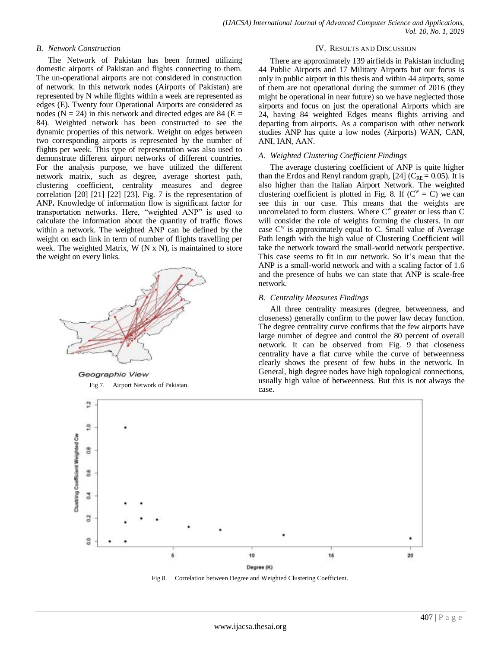## *B. Network Construction*

The Network of Pakistan has been formed utilizing domestic airports of Pakistan and flights connecting to them. The un-operational airports are not considered in construction of network. In this network nodes (Airports of Pakistan) are represented by N while flights within a week are represented as edges (E). Twenty four Operational Airports are considered as nodes ( $N = 24$ ) in this network and directed edges are 84 ( $E =$ 84). Weighted network has been constructed to see the dynamic properties of this network. Weight on edges between two corresponding airports is represented by the number of flights per week. This type of representation was also used to demonstrate different airport networks of different countries. For the analysis purpose, we have utilized the different network matrix, such as degree, average shortest path, clustering coefficient, centrality measures and degree correlation [20] [21] [22] [23]. Fig. 7 is the representation of ANP**.** Knowledge of information flow is significant factor for transportation networks. Here, "weighted ANP" is used to calculate the information about the quantity of traffic flows within a network. The weighted ANP can be defined by the weight on each link in term of number of flights travelling per week. The weighted Matrix, W (N x N), is maintained to store the weight on every links.



Geographic View Fig 7. Airport Network of Pakistan.

#### IV. RESULTS AND DISCUSSION

There are approximately 139 airfields in Pakistan including 44 Public Airports and 17 Military Airports but our focus is only in public airport in this thesis and within 44 airports, some of them are not operational during the summer of 2016 (they might be operational in near future) so we have neglected those airports and focus on just the operational Airports which are 24, having 84 weighted Edges means flights arriving and departing from airports. As a comparison with other network studies ANP has quite a low nodes (Airports) WAN, CAN, ANI, IAN, AAN.

#### *A. Weighted Clustering Coefficient Findings*

The average clustering coefficient of ANP is quite higher than the Erdos and Renyl random graph, [24] ( $C_{RE} = 0.05$ ). It is also higher than the Italian Airport Network. The weighted clustering coefficient is plotted in Fig. 8. If  $(C^w = C)$  we can see this in our case. This means that the weights are uncorrelated to form clusters. Where  $C^w$  greater or less than  $C$ will consider the role of weights forming the clusters. In our case  $C^w$  is approximately equal to C. Small value of Average Path length with the high value of Clustering Coefficient will take the network toward the small-world network perspective. This case seems to fit in our network. So it's mean that the ANP is a small-world network and with a scaling factor of 1.6 and the presence of hubs we can state that ANP is scale-free network.

#### *B. Centrality Measures Findings*

All three centrality measures (degree, betweenness, and closeness) generally confirm to the power law decay function. The degree centrality curve confirms that the few airports have large number of degree and control the 80 percent of overall network. It can be observed from Fig. 9 that closeness centrality have a flat curve while the curve of betweenness clearly shows the present of few hubs in the network. In General, high degree nodes have high topological connections, usually high value of betweenness. But this is not always the case.



Fig 8. Correlation between Degree and Weighted Clustering Coefficient.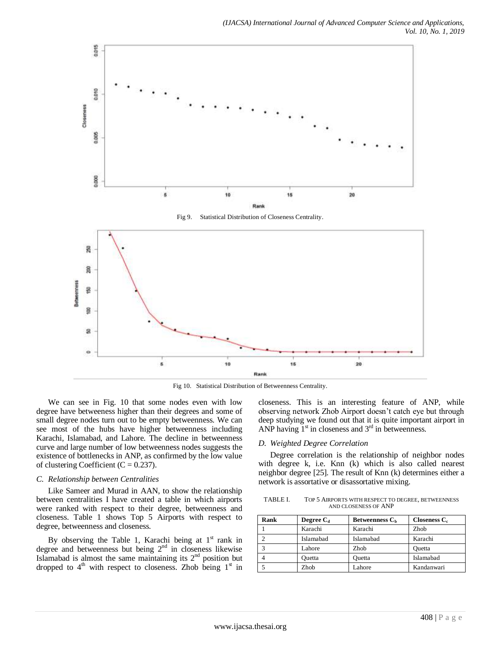

Fig 10. Statistical Distribution of Betweenness Centrality.

We can see in Fig. 10 that some nodes even with low degree have betweeness higher than their degrees and some of small degree nodes turn out to be empty betweenness. We can see most of the hubs have higher betweenness including Karachi, Islamabad, and Lahore. The decline in betweenness curve and large number of low betweenness nodes suggests the existence of bottlenecks in ANP, as confirmed by the low value of clustering Coefficient ( $C = 0.237$ ).

#### *C. Relationship between Centralities*

Like Sameer and Murad in AAN, to show the relationship between centralities I have created a table in which airports were ranked with respect to their degree, betweenness and closeness. Table 1 shows Top 5 Airports with respect to degree, betweenness and closeness.

By observing the Table 1, Karachi being at  $1<sup>st</sup>$  rank in degree and betweenness but being  $2<sup>nd</sup>$  in closeness likewise Islamabad is almost the same maintaining its  $2<sup>nd</sup>$  position but dropped to  $4<sup>th</sup>$  with respect to closeness. Zhob being  $1<sup>st</sup>$  in closeness. This is an interesting feature of ANP, while observing network Zhob Airport doesn't catch eye but through deep studying we found out that it is quite important airport in ANP having  $1<sup>st</sup>$  in closeness and  $3<sup>rd</sup>$  in betweenness.

#### *D. Weighted Degree Correlation*

Degree correlation is the relationship of neighbor nodes with degree k, i.e. Knn (k) which is also called nearest neighbor degree [25]. The result of Knn (k) determines either a network is assortative or disassortative mixing.

TABLE I. TOP 5 AIRPORTS WITH RESPECT TO DEGREE, BETWEENNESS AND CLOSENESS OF ANP

| Rank | Degree $C_d$ | Betweenness C <sub>b</sub> | Closeness $C_c$ |
|------|--------------|----------------------------|-----------------|
|      | Karachi      | Karachi                    | Zhob            |
|      | Islamabad    | Islamabad                  | Karachi         |
|      | Lahore       | Zhob                       | Ouetta          |
|      | Ouetta       | Ouetta                     | Islamabad       |
|      | Zhob         | Lahore                     | Kandanwari      |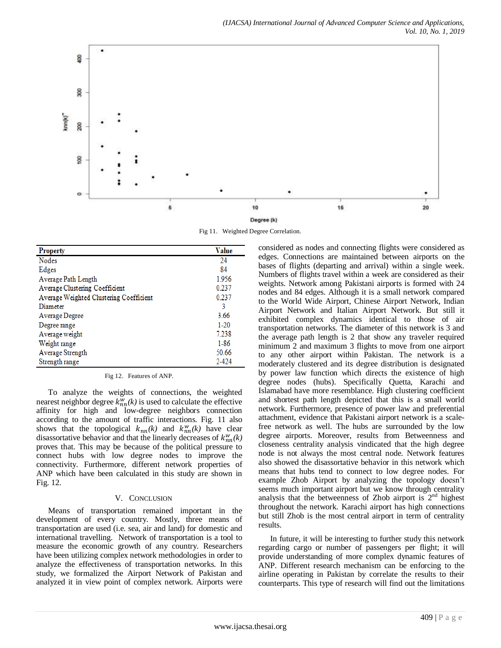

Fig 11. Weighted Degree Correlation.

| <b>Property</b>                         | Value    |
|-----------------------------------------|----------|
| <b>Nodes</b>                            | 24       |
| Edges                                   | 84       |
| Average Path Length                     | 1.956    |
| Average Clustering Coefficient          | 0.237    |
| Average Weighted Clustering Coefficient | 0 237    |
| Diameter                                | 3        |
| Average Degree                          | 3.66     |
| Degree range                            | $1-20$   |
| Average weight                          | 7.238    |
| Weight range                            | $1 - 86$ |
| Average Strength                        | 50.66    |
| Strength range                          | 2-424    |

Fig 12. Features of ANP.

To analyze the weights of connections, the weighted nearest neighbor degree  $k_{nn}^w(k)$  is used to calculate the effective affinity for high and low-degree neighbors connection according to the amount of traffic interactions. Fig. 11 also shows that the topological  $k_{nn}(k)$  and  $k_{nn}^{w}(k)$  have clear disassortative behavior and that the linearly decreases of  $k_{nn}^w(k)$ proves that. This may be because of the political pressure to connect hubs with low degree nodes to improve the connectivity. Furthermore, different network properties of ANP which have been calculated in this study are shown in Fig. 12.

## V. CONCLUSION

Means of transportation remained important in the development of every country. Mostly, three means of transportation are used (i.e. sea, air and land) for domestic and international travelling. Network of transportation is a tool to measure the economic growth of any country. Researchers have been utilizing complex network methodologies in order to analyze the effectiveness of transportation networks. In this study, we formalized the Airport Network of Pakistan and analyzed it in view point of complex network. Airports were considered as nodes and connecting flights were considered as edges. Connections are maintained between airports on the bases of flights (departing and arrival) within a single week. Numbers of flights travel within a week are considered as their weights. Network among Pakistani airports is formed with 24 nodes and 84 edges. Although it is a small network compared to the World Wide Airport, Chinese Airport Network, Indian Airport Network and Italian Airport Network. But still it exhibited complex dynamics identical to those of air transportation networks. The diameter of this network is 3 and the average path length is 2 that show any traveler required minimum 2 and maximum 3 flights to move from one airport to any other airport within Pakistan. The network is a moderately clustered and its degree distribution is designated by power law function which directs the existence of high degree nodes (hubs). Specifically Quetta, Karachi and Islamabad have more resemblance. High clustering coefficient and shortest path length depicted that this is a small world network. Furthermore, presence of power law and preferential attachment, evidence that Pakistani airport network is a scalefree network as well. The hubs are surrounded by the low degree airports. Moreover, results from Betweenness and closeness centrality analysis vindicated that the high degree node is not always the most central node. Network features also showed the disassortative behavior in this network which means that hubs tend to connect to low degree nodes. For example Zhob Airport by analyzing the topology doesn't seems much important airport but we know through centrality analysis that the betweenness of Zhob airport is  $2<sup>nd</sup>$  highest throughout the network. Karachi airport has high connections but still Zhob is the most central airport in term of centrality results.

In future, it will be interesting to further study this network regarding cargo or number of passengers per flight; it will provide understanding of more complex dynamic features of ANP. Different research mechanism can be enforcing to the airline operating in Pakistan by correlate the results to their counterparts. This type of research will find out the limitations